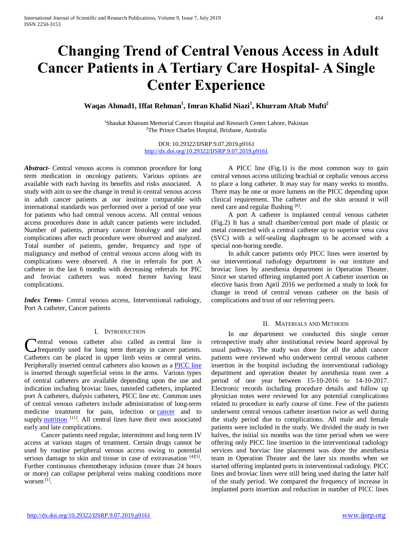# **Changing Trend of Central Venous Access in Adult Cancer Patients in A Tertiary Care Hospital- A Single Center Experience**

**Waqas Ahmad1, Iffat Rehman<sup>1</sup> , Imran Khalid Niazi<sup>1</sup> , Khurram Aftab Mufti<sup>2</sup>**

<sup>1</sup>Shaukat Khanum Memorial Cancer Hospital and Research Center Lahore, Pakistan <sup>2</sup>The Prince Charles Hospital, Brisbane, Australia

> DOI: 10.29322/IJSRP.9.07.2019.p9161 <http://dx.doi.org/10.29322/IJSRP.9.07.2019.p9161>

*Abstract***-** Central venous access is common procedure for long term medication in oncology patients. Various options are available with each having its benefits and risks associated. A study with aim to see the change in trend in central venous access in adult cancer patients at our institute comparable with international standards was performed over a period of one year for patients who had central venous access. All central venous access procedures done in adult cancer patients were included. Number of patients, primary cancer histology and site and complications after each procedure were observed and analyzed. Total number of patients, gender, frequency and type of malignancy and method of central venous access along with its complications were observed. A rise in referrals for port A catheter in the last 6 months with decreasing referrals for PIC and broviac catheters was noted former having least complications.

*Index Terms*- Central venous access, Interventional radiology, Port A catheter, Cancer patients

## I. INTRODUCTION

entral venous catheter also called as central line is **frequently** used for long term therapy in cancer patients. Catheters can be placed in upper limb veins or central veins. Peripherally inserted central catheters also known as a [PICC line](https://en.wikipedia.org/wiki/Peripherally_inserted_central_catheter) is inserted through superficial veins in the arms. Various types of central catheters are available depending upon the use and indication including broviac lines, tunneled catheters, implanted port A catheters, dialysis catheters, PICC line etc. Common uses of central venous catheters include administration of long-term medicine treatment for pain, infection or [cancer](http://www.webmd.com/cancer/default.htm) and to supply [nutrition](http://www.webmd.com/diet/default.htm)<sup>[11]</sup>. All central lines have their own associated early and late complications.

 Cancer patients need regular, intermittent and long term IV access at various stages of treatment. Certain drugs cannot be used by routine peripheral venous access owing to potential serious damage to skin and tissue in case of extravasation [4][5]. Further continuous chemotherapy infusion (more than 24 hours or more) can collapse peripheral veins making conditions more worsen [1] .

 A PICC line (Fig.1) is the most common way to gain central venous access utilizing brachial or cephalic venous access to place a long catheter. It may stay for many weeks to months. There may be one or more lumens on the PICC depending upon clinical requirement. The catheter and the skin around it will need care and regular flushing [6].

 A port A catheter is implanted central venous catheter (Fig.2) It has a small chamber/central port made of plastic or metal connected with a central catheter up to superior vena cava (SVC) with a self-sealing diaphragm to be accessed with a special non-boring needle.

 In adult cancer patients only PICC lines were inserted by our interventional radiology department in our institute and broviac lines by anesthesia department in Operation Theater. Since we started offering implanted port A catheter insertion on elective basis from April 2016 we performed a study to look for change in trend of central venous catheter on the basis of complications and trust of our referring peers.

# II. MATERIALS AND METHODS

 In our department we conducted this single center retrospective study after institutional review board approval by usual pathway. The study was done for all the adult cancer patients were reviewed who underwent central venous catheter insertion in the hospital including the interventional radiology department and operation theater by anesthesia team over a period of one year between 15-10-2016 to 14-10-2017. Electronic records including procedure details and follow up physician notes were reviewed for any potential complications related to procedure in early course of time. Few of the patients underwent central venous catheter insertion twice as well during the study period due to complications. All male and female patients were included in the study. We divided the study in two halves, the initial six months was the time period when we were offering only PICC line insertion in the interventional radiology services and borviac line placement was done the anesthesia team in Operation Theater and the later six months when we started offering implanted ports in interventional radiology. PICC lines and broviac lines were still being used during the latter half of the study period. We compared the frequency of increase in implanted ports insertion and reduction in number of PICC lines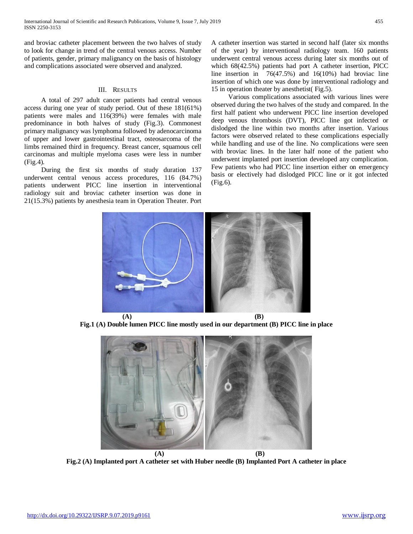and broviac catheter placement between the two halves of study to look for change in trend of the central venous access. Number of patients, gender, primary malignancy on the basis of histology and complications associated were observed and analyzed.

# III. RESULTS

 A total of 297 adult cancer patients had central venous access during one year of study period. Out of these 181(61%) patients were males and 116(39%) were females with male predominance in both halves of study (Fig.3). Commonest primary malignancy was lymphoma followed by adenocarcinoma of upper and lower gastrointestinal tract, osteosarcoma of the limbs remained third in frequency. Breast cancer, squamous cell carcinomas and multiple myeloma cases were less in number (Fig.4).

 During the first six months of study duration 137 underwent central venous access procedures, 116 (84.7%) patients underwent PICC line insertion in interventional radiology suit and broviac catheter insertion was done in 21(15.3%) patients by anesthesia team in Operation Theater. Port A catheter insertion was started in second half (later six months of the year) by interventional radiology team. 160 patients underwent central venous access during later six months out of which 68(42.5%) patients had port A catheter insertion, PICC line insertion in 76(47.5%) and 16(10%) had broviac line insertion of which one was done by interventional radiology and 15 in operation theater by anesthetist( Fig.5).

 Various complications associated with various lines were observed during the two halves of the study and compared. In the first half patient who underwent PICC line insertion developed deep venous thrombosis (DVT), PICC line got infected or dislodged the line within two months after insertion. Various factors were observed related to these complications especially while handling and use of the line. No complications were seen with broviac lines. In the later half none of the patient who underwent implanted port insertion developed any complication. Few patients who had PICC line insertion either on emergency basis or electively had dislodged PICC line or it got infected (Fig.6).



**Fig.1 (A) Double lumen PICC line mostly used in our department (B) PICC line in place**



**Fig.2 (A) Implanted port A catheter set with Huber needle (B) Implanted Port A catheter in place**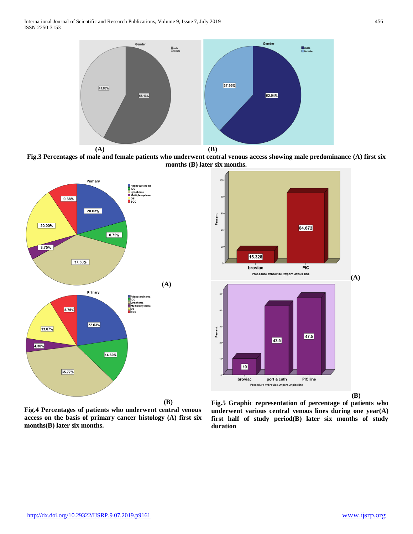

**Fig.3 Percentages of male and female patients who underwent central venous access showing male predominance (A) first six months (B) later six months.**



Percent 84.672 15.328 broviac PIC Procedure 1=broviac, 2=port, 3=picc line **(A)** arcent 47.5  $\boxed{42.5}$ 10 broviac port a cath PIC line Procedure 1=broviac, 2=port, 3=picc line  **(B)**

**Fig.4 Percentages of patients who underwent central venous access on the basis of primary cancer histology (A) first six months(B) later six months.**